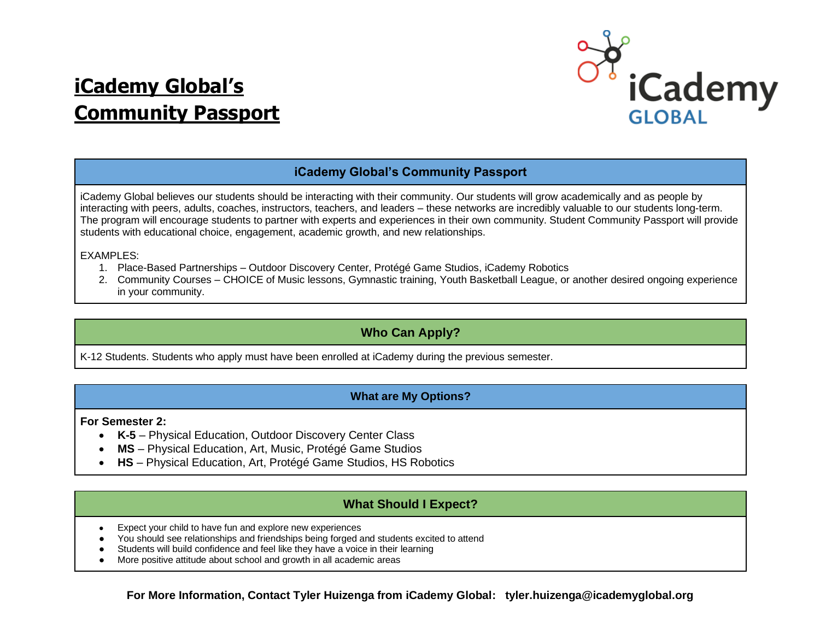# **iCademy Global's Community Passport**



# **iCademy Global's Community Passport**

iCademy Global believes our students should be interacting with their community. Our students will grow academically and as people by interacting with peers, adults, coaches, instructors, teachers, and leaders – these networks are incredibly valuable to our students long-term. The program will encourage students to partner with experts and experiences in their own community. Student Community Passport will provide students with educational choice, engagement, academic growth, and new relationships.

EXAMPLES:

- 1. Place-Based Partnerships Outdoor Discovery Center, Protégé Game Studios, iCademy Robotics
- 2. Community Courses CHOICE of Music lessons, Gymnastic training, Youth Basketball League, or another desired ongoing experience in your community.

# **Who Can Apply?**

K-12 Students. Students who apply must have been enrolled at iCademy during the previous semester.

# **What are My Options?**

**For Semester 2:**

- **K-5**  Physical Education, Outdoor Discovery Center Class
- **MS**  Physical Education, Art, Music, Protégé Game Studios
- **HS**  Physical Education, Art, Protégé Game Studios, HS Robotics

# **What Should I Expect?**

- Expect your child to have fun and explore new experiences
- You should see relationships and friendships being forged and students excited to attend
- Students will build confidence and feel like they have a voice in their learning
- More positive attitude about school and growth in all academic areas

**For More Information, Contact Tyler Huizenga from iCademy Global: tyler.huizenga@icademyglobal.org**